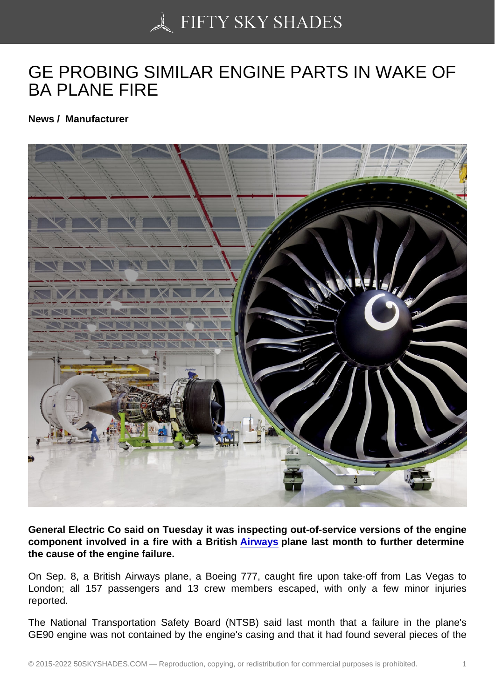## [GE PROBING SIMILAR](https://50skyshades.com) ENGINE PARTS IN WAKE OF BA PLANE FIRE

News / Manufacturer

General Electric Co said on Tuesday it was inspecting out-of-service versions of the engine component involved in a fire with a British Airways plane last month to further determine the cause of the engine failure.

On Sep. 8, a British Airways plane, a Boeing 777, caught fire upon take-off from Las Vegas to London; all 157 passengers and 13 crew m[embers e](http://www.wcarn.com/list/ztlist_1_1.html)scaped, with only a few minor injuries reported.

The National Transportation Safety Board (NTSB) said last month that a failure in the plane's GE90 engine was not contained by the engine's casing and that it had found several pieces of the